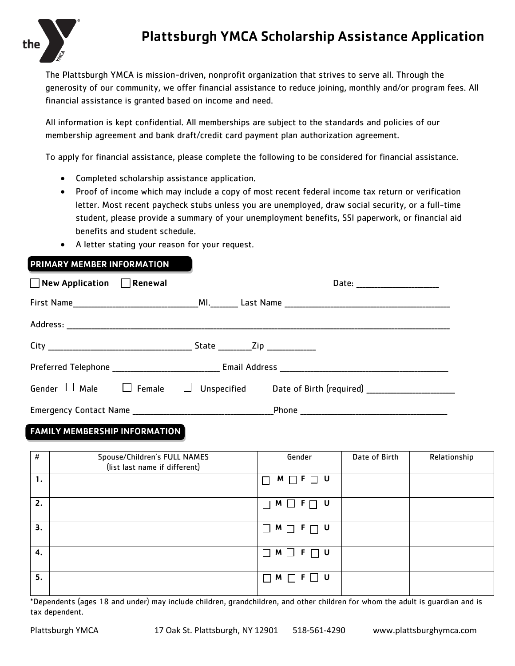

## Plattsburgh YMCA Scholarship Assistance Application

The Plattsburgh YMCA is mission-driven, nonprofit organization that strives to serve all. Through the generosity of our community, we offer financial assistance to reduce joining, monthly and/or program fees. All financial assistance is granted based on income and need.

All information is kept confidential. All memberships are subject to the standards and policies of our membership agreement and bank draft/credit card payment plan authorization agreement.

To apply for financial assistance, please complete the following to be considered for financial assistance.

- Completed scholarship assistance application.
- Proof of income which may include a copy of most recent federal income tax return or verification letter. Most recent paycheck stubs unless you are unemployed, draw social security, or a full-time student, please provide a summary of your unemployment benefits, SSI paperwork, or financial aid benefits and student schedule.
- A letter stating your reason for your request.

| <b>PRIMARY MEMBER INFORMATION</b>     |  |  |
|---------------------------------------|--|--|
| $\Box$ New Application $\Box$ Renewal |  |  |
|                                       |  |  |
|                                       |  |  |
|                                       |  |  |
|                                       |  |  |
| Gender $\Box$ Male $\Box$ Female      |  |  |
|                                       |  |  |

## FAMILY MEMBERSHIP INFORMATION

| #  | Spouse/Children's FULL NAMES<br>(list last name if different) | Gender                           | Date of Birth | Relationship |
|----|---------------------------------------------------------------|----------------------------------|---------------|--------------|
| 1. |                                                               | $M \Box F \Box U$                |               |              |
| 2. |                                                               | $\Box$ $M$ $\Box$ $F$ $\Box$ $U$ |               |              |
| З. |                                                               | $\Box M \Box F \Box U$           |               |              |
| 4. |                                                               | $\Box M \Box F \Box U$           |               |              |
| 5. |                                                               | ∣U<br>M<br>F<br>$\mathbf{I}$     |               |              |

\*Dependents (ages 18 and under) may include children, grandchildren, and other children for whom the adult is guardian and is tax dependent.